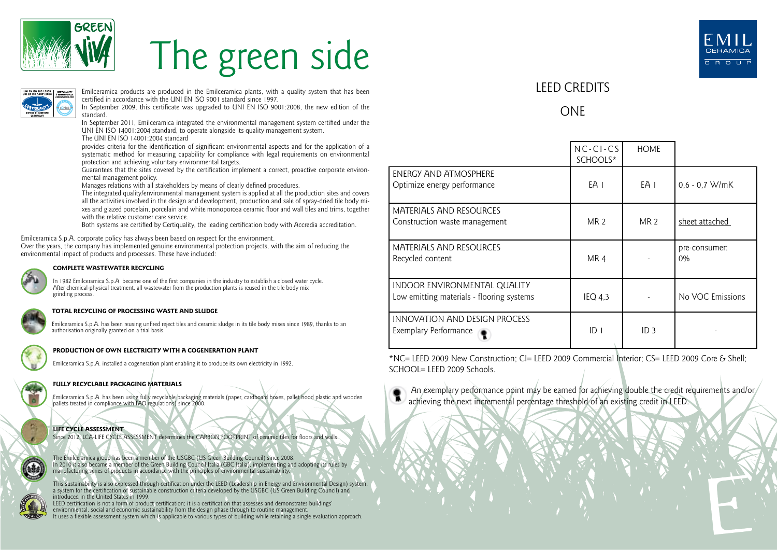

# The green side



Emilceramica products are produced in the Emilceramica plants, with a quality system that has been certified in accordance with the UNI EN ISO 9001 standard since 1997.

In September 2009, this certificate was upgraded to UNI EN ISO 9001:2008, the new edition of the standard.

In September 2011, Emilceramica integrated the environmental management system certified under the UNI EN ISO 14001:2004 standard, to operate alongside its quality management system.

The UNI EN ISO 14001:2004 standard

provides criteria for the identification of significant environmental aspects and for the application of a systematic method for measuring capability for compliance with legal requirements on environmental protection and achieving voluntary environmental targets.

Guarantees that the sites covered by the certification implement a correct, proactive corporate environmental management policy.

Manages relations with all stakeholders by means of clearly defined procedures.

The integrated quality/environmental management system is applied at all the production sites and covers all the activities involved in the design and development, production and sale of spray-dried tile body mixes and glazed porcelain, porcelain and white monoporosa ceramic floor and wall tiles and trims, together with the relative customer care service.

Both systems are certified by Certiquality, the leading certification body with Accredia accreditation.

Emilceramica S.p.A. corporate policy has always been based on respect for the environment.

Over the years, the company has implemented genuine environmental protection projects, with the aim of reducing the environmental impact of products and processes. These have included:



#### **COMPLETE WASTEWATER RECYCLING**

In 1982 Emilceramica S.p.A. became one of the first companies in the industry to establish a closed water cycle. After chemical-physical treatment, all wastewater from the production plants is reused in the tile body mix grinding process.

#### **TOTAL RECYCLING OF PROCESSING WASTE AND SLUDGE**

Emilceramica S.p.A. has been reusing unfired reject tiles and ceramic sludge in its tile body mixes since 1989, thanks to an authorisation originally granted on a trial basis.



#### **PRODUCTION OF OWN ELECTRICITY WITH A COGENERATION PLANT**

Emilceramica S.p.A. installed a cogeneration plant enabling it to produce its own electricity in 1992.

### **FULLY RECYCLABLE PACKAGING MATERIALS**

Emilceramica S.p.A. has been using fully recyclable packaging materials (paper, cardboard boxes, pallet hood plastic and wooden pallets treated in compliance with FAO regulations) since 2000.



Since 2012: LCA-LIFE CYCLE ASSESSMENT determines the CARBON FOOTPRINT of ceramic tiles for floors and walls.

The Emilceramica group has been a member of the USGBC (US Green Building Council) since 2008. In 2010 it also became a member of the Green Building Council Italia (GBC Italia), implementing and adopting its rules by manufacturing series of products in accordance with the principles of environmental sustainability.

This sustainability is also expressed through certification under the LEED (Leadership in Energy and Environmental Design) system,<br>a system for the certification of sustainable construction criteria developed by the USGBC introduced in the United States in 1999.

LEED certification is not a form of product certification; it is a certification that assesses and demonstrates buildings' environmental, social and economic sustainability from the design phase through to routine management. It uses a flexible assessment system which is applicable to various types of building while retaining a single evaluation approach.



## LEED CREDITS

## ONE

|                                                                           | $NC-CI-CS$<br>SCHOOLS* | <b>HOME</b>     |                        |
|---------------------------------------------------------------------------|------------------------|-----------------|------------------------|
| ENERGY AND ATMOSPHERE<br>Optimize energy performance                      | EA 1                   | EA I            | $0.6 - 0.7$ W/mK       |
| MATERIALS AND RESOURCES<br>Construction waste management                  | <b>MR 2</b>            | MR <sub>2</sub> | sheet attached         |
| <b>MATERIALS AND RESOURCES</b><br>Recycled content                        | MR <sub>4</sub>        |                 | pre-consumer:<br>$0\%$ |
| INDOOR ENVIRONMENTAL QUALITY<br>Low emitting materials - flooring systems | IEQ 4,3                |                 | No VOC Emissions       |
| INNOVATION AND DESIGN PROCESS<br>Exemplary Performance                    | ID <sub>1</sub>        | ID <sub>3</sub> |                        |

\*NC= LEED 2009 New Construction; CI= LEED 2009 Commercial Interior; CS= LEED 2009 Core & Shell;  $SCHOOI = I FFD 2009$  Schools.



An exemplary performance point may be earned for achieving double the credit requirements and/or/ achieving the next incremental percentage threshold of an existing credit in LEED.